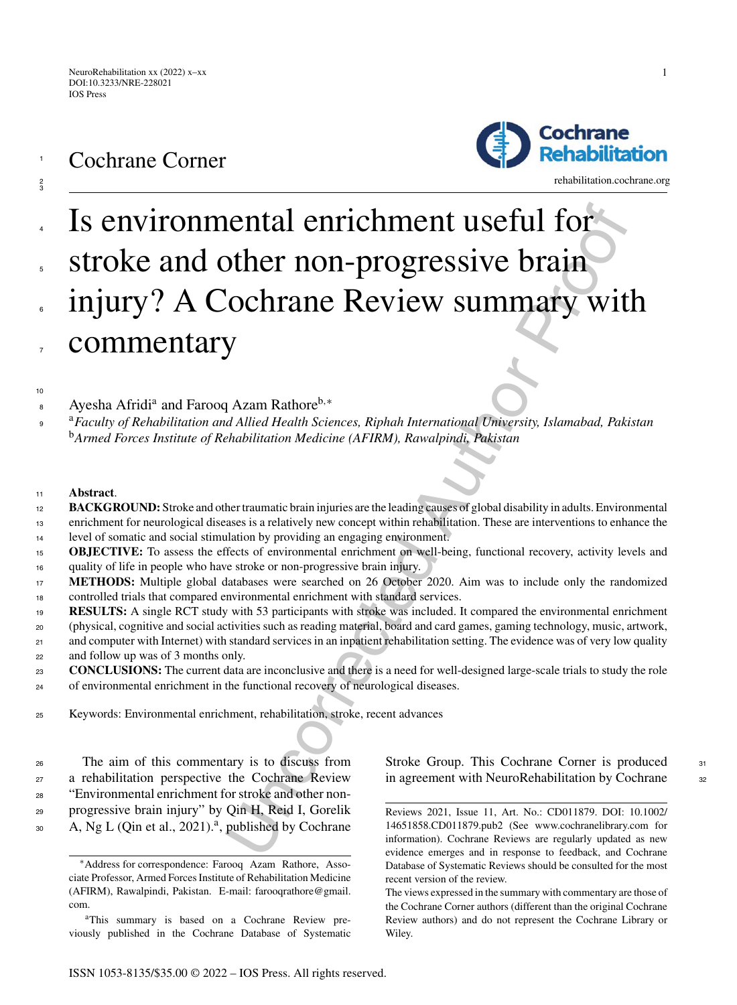

1

2 3

 $10$ 



<rehabilitation.cochrane.org>

# **EXECUTE:**<br> **COLUMBER CONTRANS CONTRANS CONTRANS CONTRANS CONTRANS CONTRANS CONTRANS CONTRANS CONTRANS CONTRANS CONTRANS CONTRANS CONTRANS CONTRANS CONTRANS CONTRANS CONTRANS CONTRANS CONTRANS CONTRANS CONTRANS CONTRANS CO** Is environmental enrichment useful for stroke and other non-progressive brain injury? A Cochrane Review summary with commentary 4 5 6 7

Ayesha Afridia and Farooq Azam Rathoreb*,*<sup>∗</sup> <sup>8</sup>

<sup>a</sup> <sup>9</sup> *Faculty of Rehabilitation and Allied Health Sciences, Riphah International University, Islamabad, Pakistan* <sup>b</sup>*Armed Forces Institute of Rehabilitation Medicine (AFIRM), Rawalpindi, Pakistan*

#### <sup>11</sup> **Abstract**.

- **BACKGROUND:** Stroke and other traumatic brain injuries are the leading causes of global disability in adults. Environmental 12
- enrichment for neurological diseases is a relatively new concept within rehabilitation. These are interventions to enhance the 13
- level of somatic and social stimulation by providing an engaging environment. 14
- **OBJECTIVE:** To assess the effects of environmental enrichment on well-being, functional recovery, activity levels and quality of life in people who have stroke or non-progressive brain injury. 15 16
- **METHODS:** Multiple global databases were searched on 26 October 2020. Aim was to include only the randomized controlled trials that compared environmental enrichment with standard services. 17 18
- **RESULTS:** A single RCT study with 53 participants with stroke was included. It compared the environmental enrichment 19
- (physical, cognitive and social activities such as reading material, board and card games, gaming technology, music, artwork, 20
- and computer with Internet) with standard services in an inpatient rehabilitation setting. The evidence was of very low quality 21
- and follow up was of 3 months only. 22
- **CONCLUSIONS:** The current data are inconclusive and there is a need for well-designed large-scale trials to study the role of environmental enrichment in the functional recovery of neurological diseases.  $23$ 24
- 
- <sup>25</sup> Keywords: Environmental enrichment, rehabilitation, stroke, recent advances

 The aim of this commentary is to discuss from a rehabilitation perspective the Cochrane Review "Environmental enrichment for stroke and other non- progressive brain injury" by Qin H, Reid I, Gorelik  $A, Ng L (Qin et al., 2021).<sup>a</sup>, published by Cochrane)$  Stroke Group. This Cochrane Corner is produced 31 in agreement with NeuroRehabilitation by Cochrane <sup>32</sup>

<sup>∗</sup>Address for correspondence: Farooq Azam Rathore, Associate Professor, Armed Forces Institute of Rehabilitation Medicine (AFIRM), Rawalpindi, Pakistan. E-mail: [farooqrathore@gmail.](mailto:farooqrathore@gmail.{penalty -@M }com) com.

aThis summary is based on a Cochrane Review previously published in the Cochrane Database of Systematic

Reviews 2021, Issue 11, Art. No.: CD011879. DOI: 10.1002/ 14651858.CD011879.pub2 (See www.cochranelibrary.com for information). Cochrane Reviews are regularly updated as new evidence emerges and in response to feedback, and Cochrane Database of Systematic Reviews should be consulted for the most recent version of the review.

The views expressed in the summary with commentary are those of the Cochrane Corner authors (different than the original Cochrane Review authors) and do not represent the Cochrane Library or Wiley.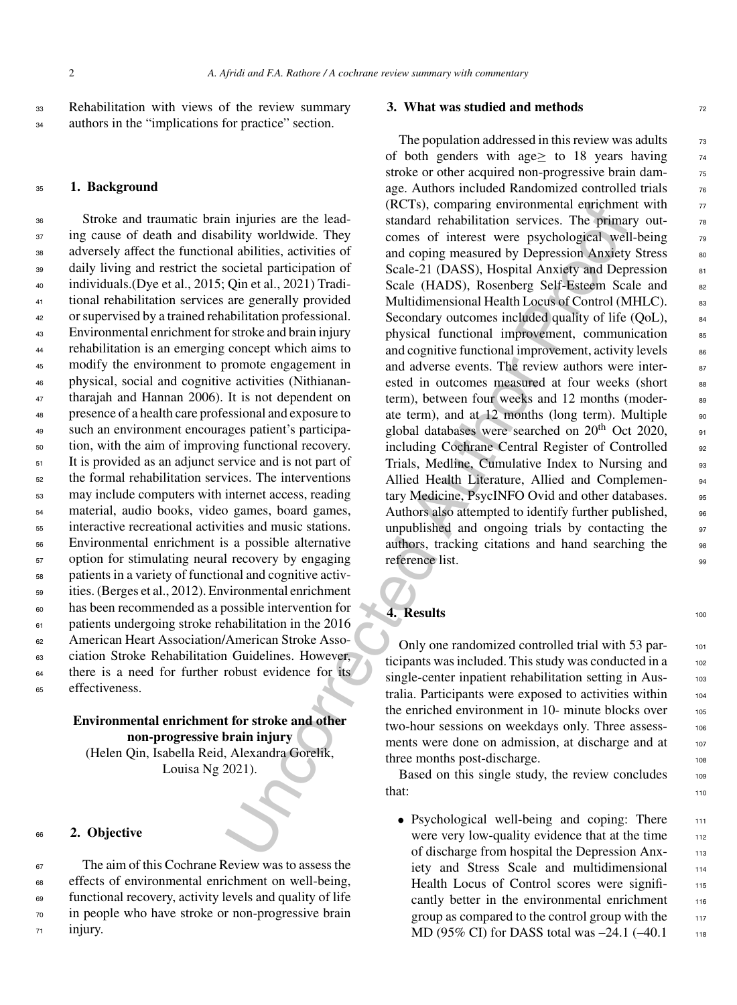<sup>33</sup> Rehabilitation with views of the review summary <sup>34</sup> authors in the "implications for practice" section.

#### <sup>35</sup> **1. Background**

 Stroke and traumatic brain injuries are the lead- ing cause of death and disability worldwide. They adversely affect the functional abilities, activities of daily living and restrict the societal participation of individuals.(Dye et al., 2015; Qin et al., 2021) Tradi- tional rehabilitation services are generally provided or supervised by a trained rehabilitation professional. Environmental enrichment for stroke and brain injury rehabilitation is an emerging concept which aims to modify the environment to promote engagement in physical, social and cognitive activities (Nithianan- tharajah and Hannan 2006). It is not dependent on presence of a health care professional and exposure to such an environment encourages patient's participa- tion, with the aim of improving functional recovery. It is provided as an adjunct service and is not part of the formal rehabilitation services. The interventions may include computers with internet access, reading material, audio books, video games, board games, interactive recreational activities and music stations. Environmental enrichment is a possible alternative option for stimulating neural recovery by engaging patients in a variety of functional and cognitive activ- ities. (Berges et al., 2012). Environmental enrichment has been recommended as a possible intervention for patients undergoing stroke rehabilitation in the 2016 American Heart Association/American Stroke Asso- ciation Stroke Rehabilitation Guidelines. However, <sup>64</sup> there is a need for further robust evidence for its effectiveness.

# **Environmental enrichment for stroke and other non-progressive brain injury** (Helen Qin, Isabella Reid, Alexandra Gorelik, Louisa Ng 2021).

#### <sup>66</sup> **2. Objective**

 The aim of this Cochrane Review was to assess the effects of environmental enrichment on well-being, functional recovery, activity levels and quality of life in people who have stroke or non-progressive brain <sup>71</sup> injury.

#### **3. What was studied and methods**  $\frac{72}{2}$

In injuries are the lead.<br>
(KCIs), comparing environmental entrachmental distribuility wichly<br>individual chalculation services. The primalial abilities, activities of<br>
and coping measured by Depression Anxiety and Dep<br>
al The population addressed in this review was adults  $\frac{73}{2}$ of both genders with age $\ge$  to 18 years having  $\frac{74}{4}$ stroke or other acquired non-progressive brain damage. Authors included Randomized controlled trials  $\frac{76}{6}$  $(RCTs)$ , comparing environmental enrichment with  $77$ standard rehabilitation services. The primary outcomes of interest were psychological well-being 79 and coping measured by Depression Anxiety Stress 80 Scale-21 (DASS), Hospital Anxiety and Depression 81 Scale (HADS), Rosenberg Self-Esteem Scale and 82 Multidimensional Health Locus of Control (MHLC). 83 Secondary outcomes included quality of life (QoL),  $\qquad 84$ physical functional improvement, communication 85 and cognitive functional improvement, activity levels  $\begin{array}{c} \text{86} \\ \text{86} \end{array}$ and adverse events. The review authors were interested in outcomes measured at four weeks (short 88 term), between four weeks and 12 months (moderate term), and at  $12$  months (long term). Multiple  $\frac{90}{20}$ global databases were searched on  $20^{th}$  Oct 2020,  $\qquad$  91 including Cochrane Central Register of Controlled 92 Trials, Medline, Cumulative Index to Nursing and 93 Allied Health Literature, Allied and Complemen-<br>94 tary Medicine, PsycINFO Ovid and other databases. 95 Authors also attempted to identify further published, we unpublished and ongoing trials by contacting the  $\frac{97}{97}$ authors, tracking citations and hand searching the 98 reference list.

# **4. Results** 100

Only one randomized controlled trial with 53 participants was included. This study was conducted in a 102 single-center inpatient rehabilitation setting in Australia. Participants were exposed to activities within 104 the enriched environment in 10- minute blocks over 105 two-hour sessions on weekdays only. Three assessments were done on admission, at discharge and at 107 three months post-discharge.

Based on this single study, the review concludes 109  $\frac{110}{110}$ 

• Psychological well-being and coping: There 111 were very low-quality evidence that at the time 112 of discharge from hospital the Depression Anx- <sup>113</sup> iety and Stress Scale and multidimensional 114 Health Locus of Control scores were signifi-<br>115 cantly better in the environmental enrichment 116 group as compared to the control group with the  $117$ MD (95% CI) for DASS total was  $-24.1$  ( $-40.1$  118